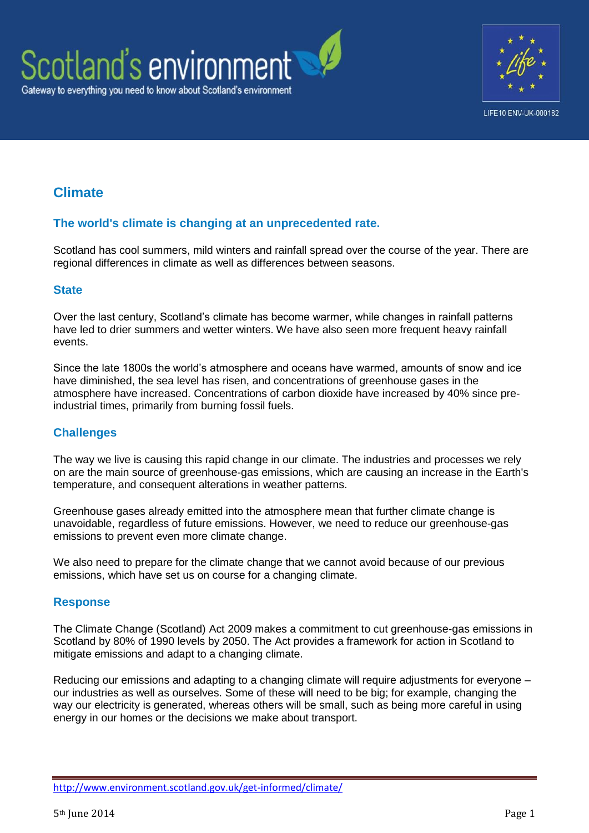



# **Climate**

### **The world's climate is changing at an unprecedented rate.**

Scotland has cool summers, mild winters and rainfall spread over the course of the year. There are regional differences in climate as well as differences between seasons.

#### **State**

Over the last century, Scotland's climate has become warmer, while changes in rainfall patterns have led to drier summers and wetter winters. We have also seen more frequent heavy rainfall events.

Since the late 1800s the world's atmosphere and oceans have warmed, amounts of snow and ice have diminished, the sea level has risen, and concentrations of greenhouse gases in the atmosphere have increased. Concentrations of carbon dioxide have increased by 40% since preindustrial times, primarily from burning fossil fuels.

#### **Challenges**

The way we live is causing this rapid change in our climate. The industries and processes we rely on are the main source of greenhouse-gas emissions, which are causing an increase in the Earth's temperature, and consequent alterations in weather patterns.

Greenhouse gases already emitted into the atmosphere mean that further climate change is unavoidable, regardless of future emissions. However, we need to reduce our greenhouse-gas emissions to prevent even more climate change.

We also need to prepare for the climate change that we cannot avoid because of our previous emissions, which have set us on course for a changing climate.

#### **Response**

The Climate Change (Scotland) Act 2009 makes a commitment to cut greenhouse-gas emissions in Scotland by 80% of 1990 levels by 2050. The Act provides a framework for action in Scotland to mitigate emissions and adapt to a changing climate.

Reducing our emissions and adapting to a changing climate will require adjustments for everyone – our industries as well as ourselves. Some of these will need to be big; for example, changing the way our electricity is generated, whereas others will be small, such as being more careful in using energy in our homes or the decisions we make about transport.

<http://www.environment.scotland.gov.uk/get-informed/climate/>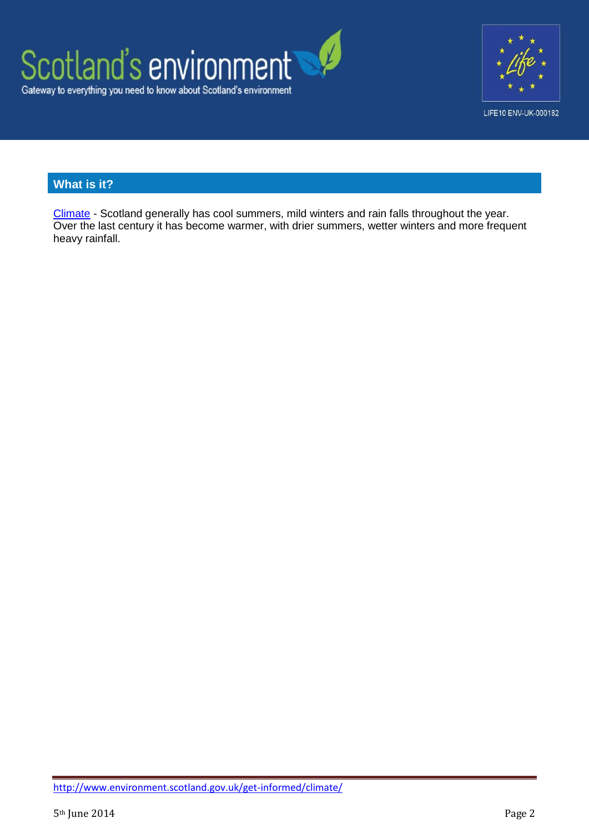



## **What is it?**

[Climate](http://www.environment.scotland.gov.uk/get-informed/climate/climate/) - Scotland generally has cool summers, mild winters and rain falls throughout the year. Over the last century it has become warmer, with drier summers, wetter winters and more frequent heavy rainfall.

<http://www.environment.scotland.gov.uk/get-informed/climate/>